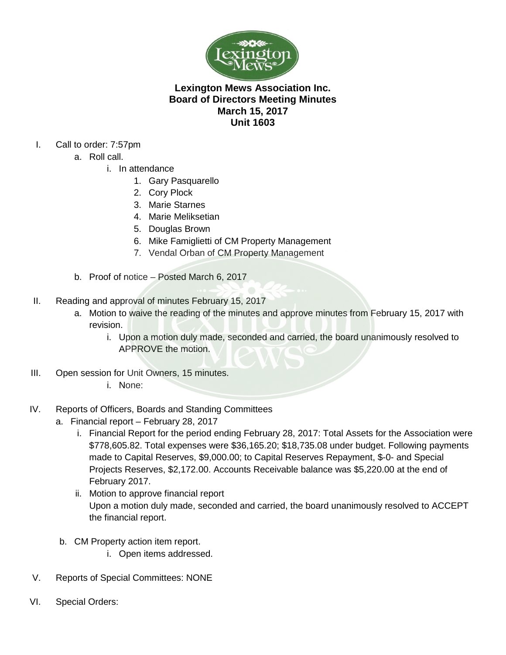

## **Lexington Mews Association Inc. Board of Directors Meeting Minutes March 15, 2017 Unit 1603**

- I. Call to order: 7:57pm
	- a. Roll call.
		- i. In attendance
			- 1. Gary Pasquarello
			- 2. Cory Plock
			- 3. Marie Starnes
			- 4. Marie Meliksetian
			- 5. Douglas Brown
			- 6. Mike Famiglietti of CM Property Management
			- 7. Vendal Orban of CM Property Management
	- b. Proof of notice Posted March 6, 2017
- II. Reading and approval of minutes February 15, 2017
	- a. Motion to waive the reading of the minutes and approve minutes from February 15, 2017 with revision.
		- i. Upon a motion duly made, seconded and carried, the board unanimously resolved to APPROVE the motion.
- III. Open session for Unit Owners, 15 minutes.
	- i. None:
- IV. Reports of Officers, Boards and Standing Committees
	- a. Financial report February 28, 2017
		- i. Financial Report for the period ending February 28, 2017: Total Assets for the Association were \$778,605.82. Total expenses were \$36,165.20; \$18,735.08 under budget. Following payments made to Capital Reserves, \$9,000.00; to Capital Reserves Repayment, \$-0- and Special Projects Reserves, \$2,172.00. Accounts Receivable balance was \$5,220.00 at the end of February 2017.
		- ii. Motion to approve financial report Upon a motion duly made, seconded and carried, the board unanimously resolved to ACCEPT the financial report.
	- b. CM Property action item report.
		- i. Open items addressed.
- V. Reports of Special Committees: NONE
- VI. Special Orders: